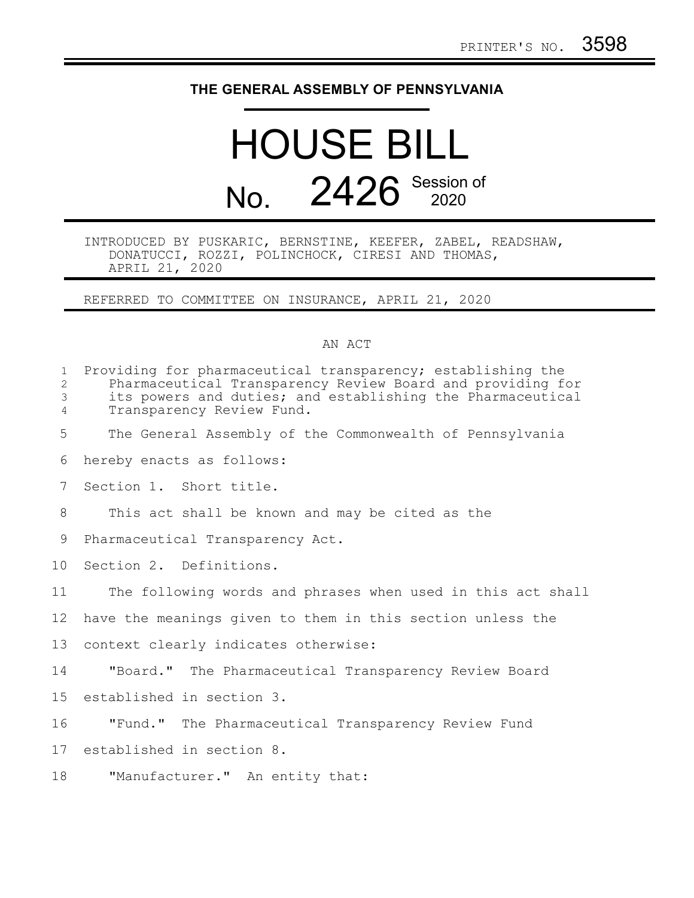## **THE GENERAL ASSEMBLY OF PENNSYLVANIA**

## HOUSE BILL No. 2426 Session of

INTRODUCED BY PUSKARIC, BERNSTINE, KEEFER, ZABEL, READSHAW, DONATUCCI, ROZZI, POLINCHOCK, CIRESI AND THOMAS, APRIL 21, 2020

REFERRED TO COMMITTEE ON INSURANCE, APRIL 21, 2020

## AN ACT

| $\mathbf 1$<br>$\overline{2}$<br>3<br>$\overline{4}$ | Providing for pharmaceutical transparency; establishing the<br>Pharmaceutical Transparency Review Board and providing for<br>its powers and duties; and establishing the Pharmaceutical<br>Transparency Review Fund. |
|------------------------------------------------------|----------------------------------------------------------------------------------------------------------------------------------------------------------------------------------------------------------------------|
| 5                                                    | The General Assembly of the Commonwealth of Pennsylvania                                                                                                                                                             |
| 6                                                    | hereby enacts as follows:                                                                                                                                                                                            |
| $7\phantom{.0}$                                      | Section 1. Short title.                                                                                                                                                                                              |
| 8                                                    | This act shall be known and may be cited as the                                                                                                                                                                      |
| 9                                                    | Pharmaceutical Transparency Act.                                                                                                                                                                                     |
| 10 <sup>°</sup>                                      | Section 2. Definitions.                                                                                                                                                                                              |
| 11                                                   | The following words and phrases when used in this act shall                                                                                                                                                          |
| 12 <sup>°</sup>                                      | have the meanings given to them in this section unless the                                                                                                                                                           |
| 13                                                   | context clearly indicates otherwise:                                                                                                                                                                                 |
| 14                                                   | "Board." The Pharmaceutical Transparency Review Board                                                                                                                                                                |
| 15                                                   | established in section 3.                                                                                                                                                                                            |
| 16                                                   | "Fund." The Pharmaceutical Transparency Review Fund                                                                                                                                                                  |
| 17                                                   | established in section 8.                                                                                                                                                                                            |
| 18                                                   | "Manufacturer." An entity that:                                                                                                                                                                                      |
|                                                      |                                                                                                                                                                                                                      |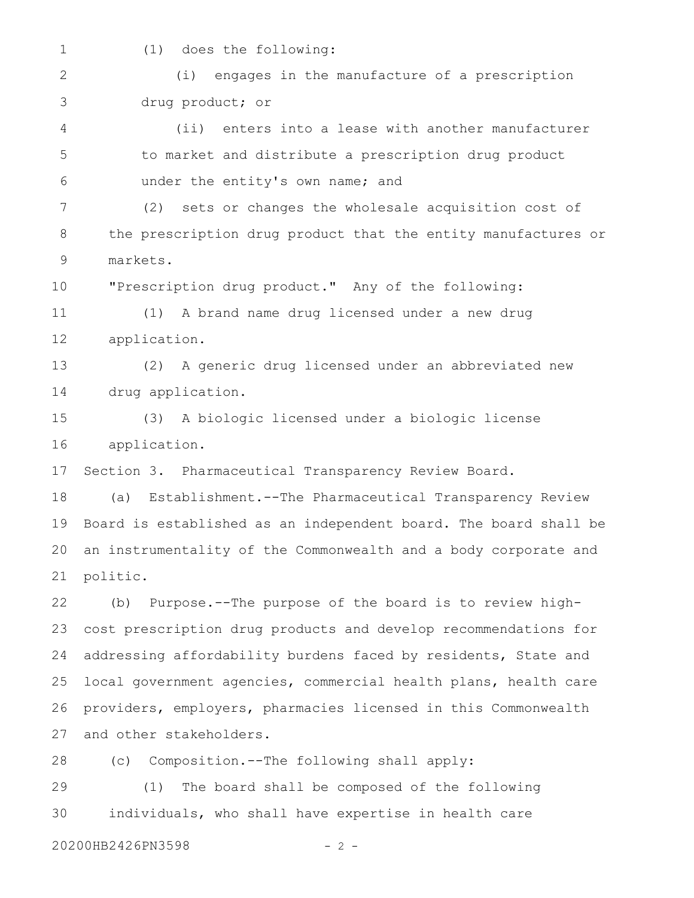1

(1) does the following:

(i) engages in the manufacture of a prescription drug product; or 2 3

(ii) enters into a lease with another manufacturer to market and distribute a prescription drug product under the entity's own name; and 4 5 6

(2) sets or changes the wholesale acquisition cost of the prescription drug product that the entity manufactures or markets. 7 8 9

"Prescription drug product." Any of the following: 10

(1) A brand name drug licensed under a new drug application. 11 12

(2) A generic drug licensed under an abbreviated new drug application. 13 14

(3) A biologic licensed under a biologic license application. 15 16

Section 3. Pharmaceutical Transparency Review Board. 17

(a) Establishment.--The Pharmaceutical Transparency Review Board is established as an independent board. The board shall be an instrumentality of the Commonwealth and a body corporate and politic. 18 19 20 21

(b) Purpose.--The purpose of the board is to review highcost prescription drug products and develop recommendations for addressing affordability burdens faced by residents, State and local government agencies, commercial health plans, health care providers, employers, pharmacies licensed in this Commonwealth and other stakeholders. 22 23 24 25 26 27

(c) Composition.--The following shall apply: 28

(1) The board shall be composed of the following individuals, who shall have expertise in health care 29 30

20200HB2426PN3598 - 2 -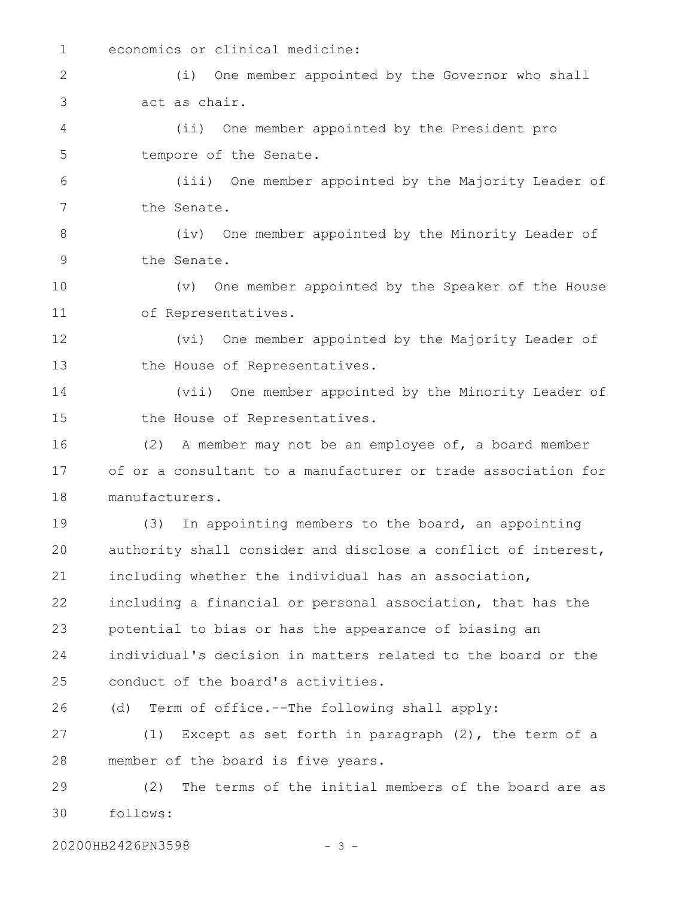1

economics or clinical medicine:

(i) One member appointed by the Governor who shall act as chair. 2 3

(ii) One member appointed by the President pro tempore of the Senate. 4 5

(iii) One member appointed by the Majority Leader of the Senate. 6 7

(iv) One member appointed by the Minority Leader of the Senate. 8 9

(v) One member appointed by the Speaker of the House of Representatives. 10 11

(vi) One member appointed by the Majority Leader of the House of Representatives. 12 13

(vii) One member appointed by the Minority Leader of the House of Representatives. 14 15

(2) A member may not be an employee of, a board member of or a consultant to a manufacturer or trade association for manufacturers. 16 17 18

(3) In appointing members to the board, an appointing authority shall consider and disclose a conflict of interest, including whether the individual has an association, including a financial or personal association, that has the potential to bias or has the appearance of biasing an individual's decision in matters related to the board or the conduct of the board's activities. 19 20 21 22 23 24 25

(d) Term of office.--The following shall apply: 26

(1) Except as set forth in paragraph (2), the term of a member of the board is five years. 27 28

(2) The terms of the initial members of the board are as follows: 29 30

20200HB2426PN3598 - 3 -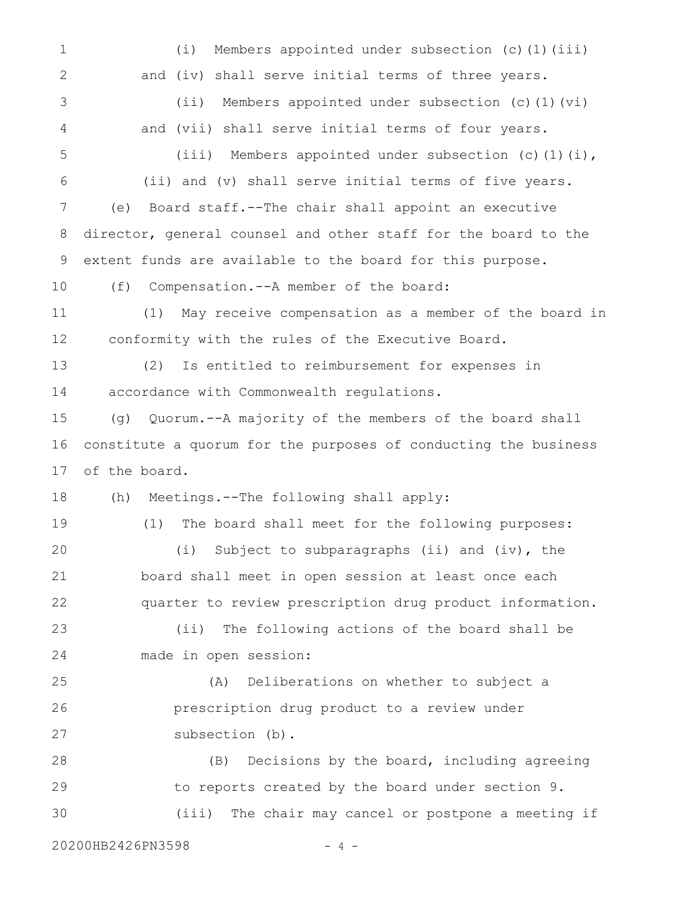(i) Members appointed under subsection (c)(1)(iii) and (iv) shall serve initial terms of three years. (ii) Members appointed under subsection (c)(1)(vi) and (vii) shall serve initial terms of four years. (iii) Members appointed under subsection (c)(1)(i), (ii) and (v) shall serve initial terms of five years. (e) Board staff.--The chair shall appoint an executive director, general counsel and other staff for the board to the extent funds are available to the board for this purpose. (f) Compensation.--A member of the board: (1) May receive compensation as a member of the board in conformity with the rules of the Executive Board. (2) Is entitled to reimbursement for expenses in accordance with Commonwealth regulations. (g) Quorum.--A majority of the members of the board shall constitute a quorum for the purposes of conducting the business of the board. (h) Meetings.--The following shall apply: (1) The board shall meet for the following purposes: (i) Subject to subparagraphs (ii) and (iv), the board shall meet in open session at least once each quarter to review prescription drug product information. (ii) The following actions of the board shall be made in open session: (A) Deliberations on whether to subject a prescription drug product to a review under subsection (b). (B) Decisions by the board, including agreeing to reports created by the board under section 9. (iii) The chair may cancel or postpone a meeting if 20200HB2426PN3598 - 4 - 1 2 3 4 5 6 7 8 9 10 11 12 13 14 15 16 17 18 19 20 21 22 23 24 25 26 27 28 29 30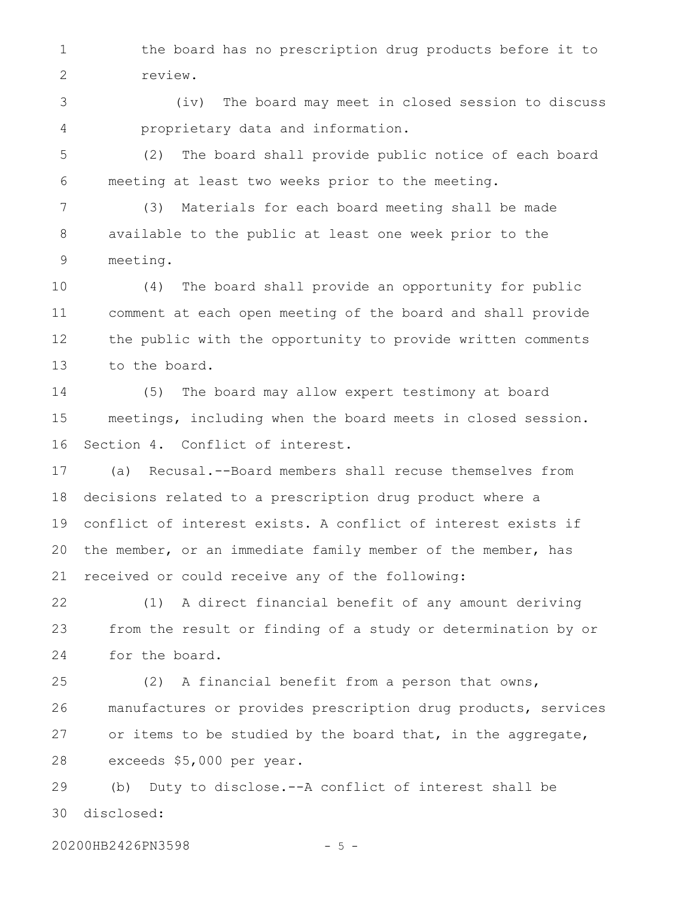the board has no prescription drug products before it to review. 1 2

(iv) The board may meet in closed session to discuss proprietary data and information. 3 4

(2) The board shall provide public notice of each board meeting at least two weeks prior to the meeting. 5 6

(3) Materials for each board meeting shall be made available to the public at least one week prior to the meeting. 7 8 9

(4) The board shall provide an opportunity for public comment at each open meeting of the board and shall provide the public with the opportunity to provide written comments to the board. 10 11 12 13

(5) The board may allow expert testimony at board meetings, including when the board meets in closed session. Section 4. Conflict of interest. 14 15 16

(a) Recusal.--Board members shall recuse themselves from decisions related to a prescription drug product where a conflict of interest exists. A conflict of interest exists if the member, or an immediate family member of the member, has received or could receive any of the following: 17 18 19 20 21

(1) A direct financial benefit of any amount deriving from the result or finding of a study or determination by or for the board. 22 23 24

(2) A financial benefit from a person that owns, manufactures or provides prescription drug products, services or items to be studied by the board that, in the aggregate, exceeds \$5,000 per year. 25 26 27 28

(b) Duty to disclose.--A conflict of interest shall be disclosed: 29 30

20200HB2426PN3598 - 5 -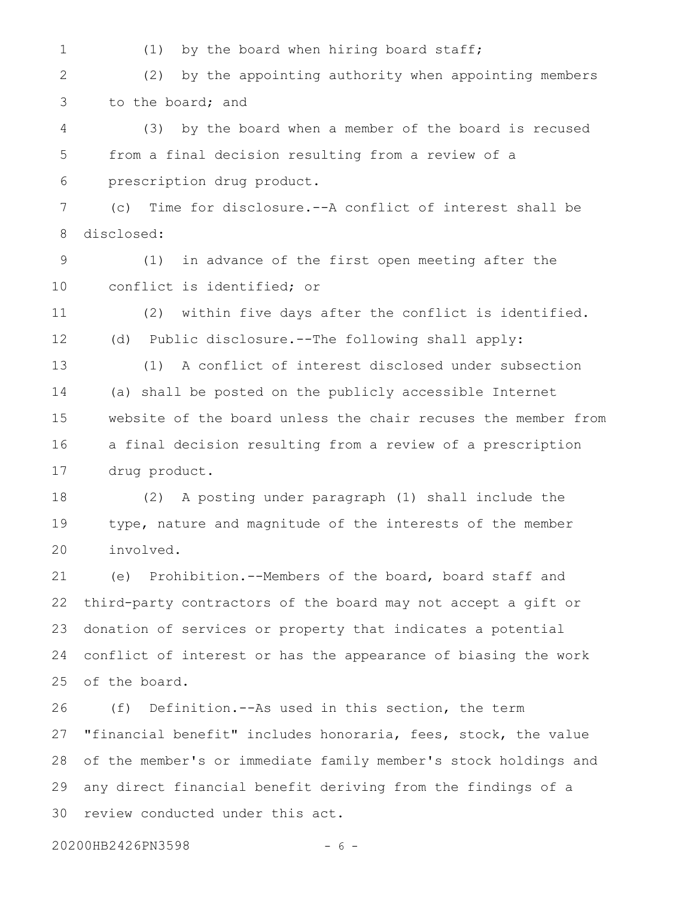(1) by the board when hiring board staff; (2) by the appointing authority when appointing members to the board; and (3) by the board when a member of the board is recused from a final decision resulting from a review of a prescription drug product. (c) Time for disclosure.--A conflict of interest shall be disclosed: (1) in advance of the first open meeting after the conflict is identified; or (2) within five days after the conflict is identified. (d) Public disclosure.--The following shall apply: (1) A conflict of interest disclosed under subsection (a) shall be posted on the publicly accessible Internet website of the board unless the chair recuses the member from a final decision resulting from a review of a prescription drug product. (2) A posting under paragraph (1) shall include the type, nature and magnitude of the interests of the member involved. (e) Prohibition.--Members of the board, board staff and third-party contractors of the board may not accept a gift or donation of services or property that indicates a potential conflict of interest or has the appearance of biasing the work of the board. (f) Definition.--As used in this section, the term "financial benefit" includes honoraria, fees, stock, the value of the member's or immediate family member's stock holdings and any direct financial benefit deriving from the findings of a review conducted under this act. 1 2 3 4 5 6 7 8 9 10 11 12 13 14 15 16 17 18 19 20 21 22 23 24 25 26 27 28 29 30

20200HB2426PN3598 - 6 -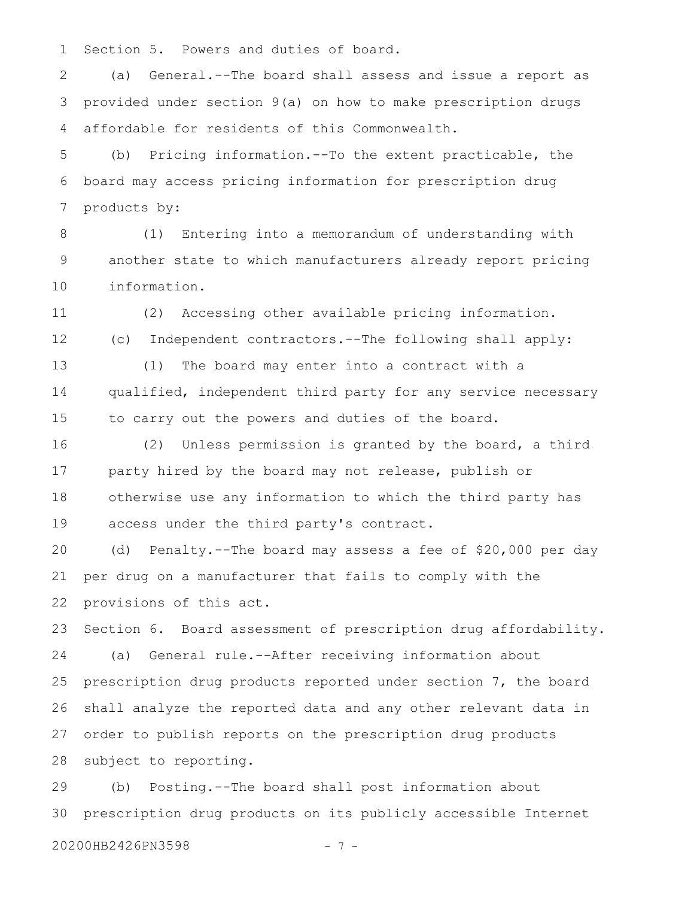Section 5. Powers and duties of board. 1

(a) General.--The board shall assess and issue a report as provided under section 9(a) on how to make prescription drugs affordable for residents of this Commonwealth. 2 3 4

(b) Pricing information.--To the extent practicable, the board may access pricing information for prescription drug products by: 5 6 7

(1) Entering into a memorandum of understanding with another state to which manufacturers already report pricing information. 8 9 10

(2) Accessing other available pricing information. (c) Independent contractors.--The following shall apply: (1) The board may enter into a contract with a qualified, independent third party for any service necessary 11 12 13 14

to carry out the powers and duties of the board.

(2) Unless permission is granted by the board, a third party hired by the board may not release, publish or otherwise use any information to which the third party has access under the third party's contract. 16 17 18 19

(d) Penalty.--The board may assess a fee of \$20,000 per day per drug on a manufacturer that fails to comply with the provisions of this act. 20 21 22

Section 6. Board assessment of prescription drug affordability. (a) General rule.--After receiving information about prescription drug products reported under section 7, the board shall analyze the reported data and any other relevant data in order to publish reports on the prescription drug products subject to reporting. 23 24 25 26 27 28

(b) Posting.--The board shall post information about prescription drug products on its publicly accessible Internet 29 30

20200HB2426PN3598 - 7 -

15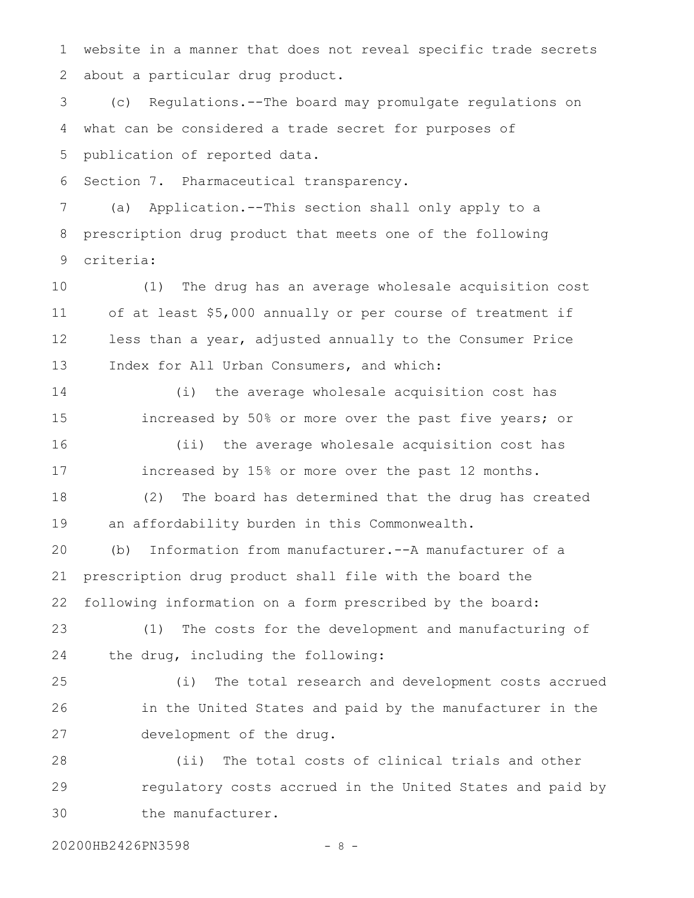website in a manner that does not reveal specific trade secrets about a particular drug product. 1 2

(c) Regulations.--The board may promulgate regulations on what can be considered a trade secret for purposes of publication of reported data. 3 4 5

Section 7. Pharmaceutical transparency. 6

(a) Application.--This section shall only apply to a prescription drug product that meets one of the following criteria: 7 8 9

(1) The drug has an average wholesale acquisition cost of at least \$5,000 annually or per course of treatment if less than a year, adjusted annually to the Consumer Price Index for All Urban Consumers, and which: 10 11 12 13

(i) the average wholesale acquisition cost has increased by 50% or more over the past five years; or (ii) the average wholesale acquisition cost has 14 15 16

increased by 15% or more over the past 12 months. 17

(2) The board has determined that the drug has created an affordability burden in this Commonwealth. 18 19

(b) Information from manufacturer.--A manufacturer of a prescription drug product shall file with the board the following information on a form prescribed by the board: 20 21 22

(1) The costs for the development and manufacturing of the drug, including the following: 23 24

(i) The total research and development costs accrued in the United States and paid by the manufacturer in the development of the drug. 25 26 27

(ii) The total costs of clinical trials and other regulatory costs accrued in the United States and paid by the manufacturer. 28 29 30

20200HB2426PN3598 - 8 -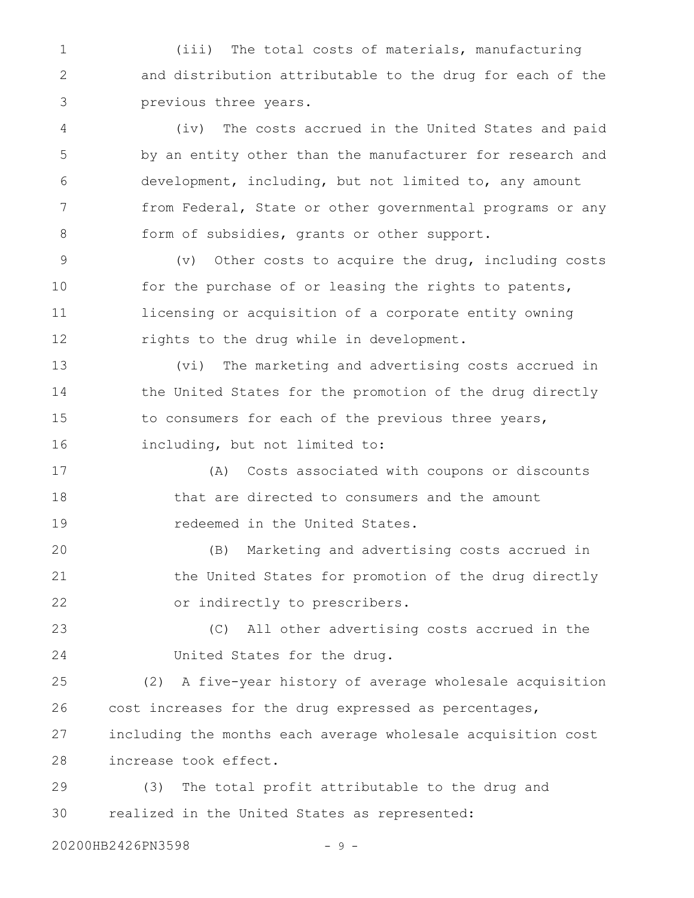(iii) The total costs of materials, manufacturing and distribution attributable to the drug for each of the previous three years. 1 2 3

(iv) The costs accrued in the United States and paid by an entity other than the manufacturer for research and development, including, but not limited to, any amount from Federal, State or other governmental programs or any form of subsidies, grants or other support. 4 5 6 7 8

(v) Other costs to acquire the drug, including costs for the purchase of or leasing the rights to patents, licensing or acquisition of a corporate entity owning rights to the drug while in development. 9 10 11 12

(vi) The marketing and advertising costs accrued in the United States for the promotion of the drug directly to consumers for each of the previous three years, including, but not limited to: 13 14 15 16

(A) Costs associated with coupons or discounts that are directed to consumers and the amount redeemed in the United States. 17 18 19

(B) Marketing and advertising costs accrued in the United States for promotion of the drug directly or indirectly to prescribers. 20 21 22

(C) All other advertising costs accrued in the United States for the drug. 23 24

(2) A five-year history of average wholesale acquisition cost increases for the drug expressed as percentages, including the months each average wholesale acquisition cost increase took effect. 25 26 27 28

(3) The total profit attributable to the drug and realized in the United States as represented: 29 30

20200HB2426PN3598 - 9 -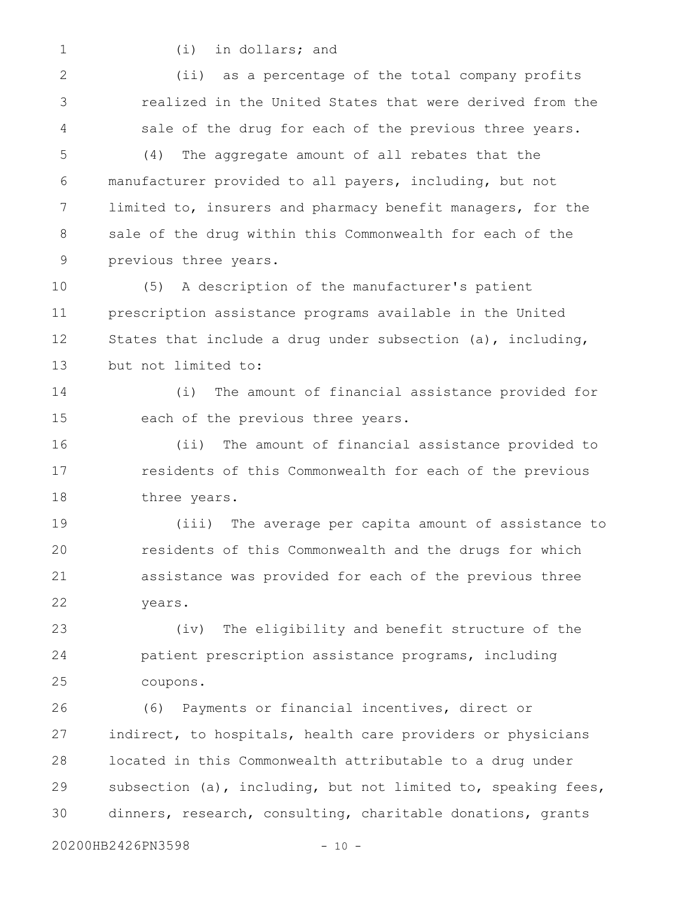1

(i) in dollars; and

(ii) as a percentage of the total company profits realized in the United States that were derived from the sale of the drug for each of the previous three years. 2 3 4

(4) The aggregate amount of all rebates that the manufacturer provided to all payers, including, but not limited to, insurers and pharmacy benefit managers, for the sale of the drug within this Commonwealth for each of the previous three years. 5 6 7 8 9

(5) A description of the manufacturer's patient prescription assistance programs available in the United States that include a drug under subsection (a), including, but not limited to: 10 11 12 13

(i) The amount of financial assistance provided for each of the previous three years. 14 15

(ii) The amount of financial assistance provided to residents of this Commonwealth for each of the previous three years. 16 17 18

(iii) The average per capita amount of assistance to residents of this Commonwealth and the drugs for which assistance was provided for each of the previous three years. 19 20 21 22

(iv) The eligibility and benefit structure of the patient prescription assistance programs, including coupons. 23 24 25

(6) Payments or financial incentives, direct or indirect, to hospitals, health care providers or physicians located in this Commonwealth attributable to a drug under subsection (a), including, but not limited to, speaking fees, dinners, research, consulting, charitable donations, grants 26 27 28 29 30

20200HB2426PN3598 - 10 -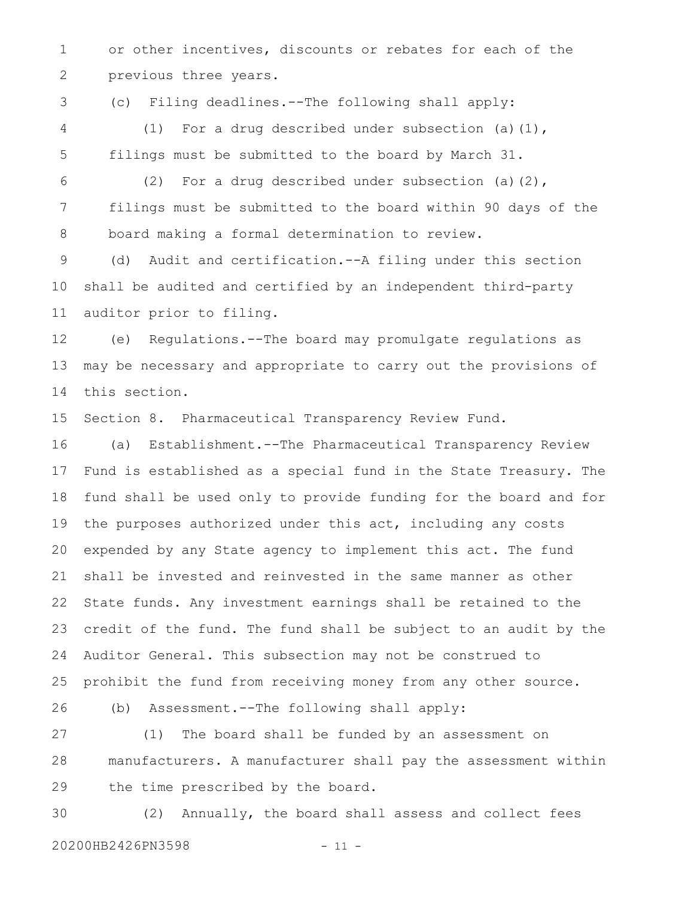or other incentives, discounts or rebates for each of the previous three years. 1 2

(c) Filing deadlines.--The following shall apply: (1) For a drug described under subsection (a)(1), filings must be submitted to the board by March 31. 3 4 5

(2) For a drug described under subsection (a)(2), filings must be submitted to the board within 90 days of the board making a formal determination to review. 6 7 8

(d) Audit and certification.--A filing under this section shall be audited and certified by an independent third-party auditor prior to filing. 9 10 11

(e) Regulations.--The board may promulgate regulations as may be necessary and appropriate to carry out the provisions of this section. 12 13 14

Section 8. Pharmaceutical Transparency Review Fund. 15

(a) Establishment.--The Pharmaceutical Transparency Review Fund is established as a special fund in the State Treasury. The fund shall be used only to provide funding for the board and for the purposes authorized under this act, including any costs expended by any State agency to implement this act. The fund shall be invested and reinvested in the same manner as other State funds. Any investment earnings shall be retained to the credit of the fund. The fund shall be subject to an audit by the Auditor General. This subsection may not be construed to prohibit the fund from receiving money from any other source. 16 17 18 19 20 21 22 23 24 25

(b) Assessment.--The following shall apply: 26

(1) The board shall be funded by an assessment on manufacturers. A manufacturer shall pay the assessment within the time prescribed by the board. 27 28 29

(2) Annually, the board shall assess and collect fees 20200HB2426PN3598 - 11 -30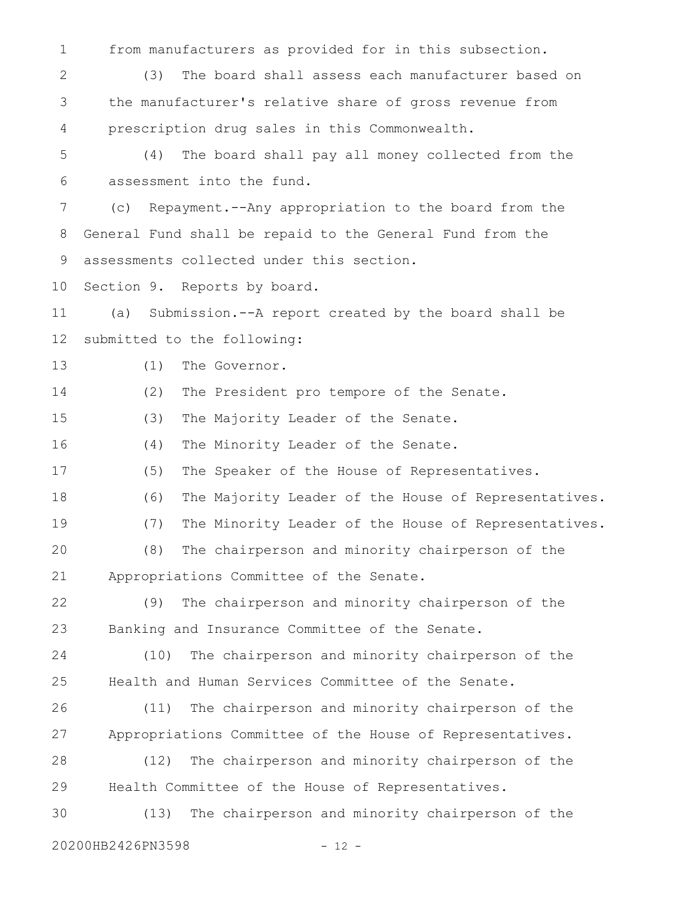from manufacturers as provided for in this subsection. (3) The board shall assess each manufacturer based on the manufacturer's relative share of gross revenue from prescription drug sales in this Commonwealth. (4) The board shall pay all money collected from the assessment into the fund. (c) Repayment.--Any appropriation to the board from the General Fund shall be repaid to the General Fund from the assessments collected under this section. Section 9. Reports by board. (a) Submission.--A report created by the board shall be submitted to the following: (1) The Governor. (2) The President pro tempore of the Senate. (3) The Majority Leader of the Senate. (4) The Minority Leader of the Senate. (5) The Speaker of the House of Representatives. (6) The Majority Leader of the House of Representatives. (7) The Minority Leader of the House of Representatives. (8) The chairperson and minority chairperson of the Appropriations Committee of the Senate. (9) The chairperson and minority chairperson of the Banking and Insurance Committee of the Senate. (10) The chairperson and minority chairperson of the Health and Human Services Committee of the Senate. (11) The chairperson and minority chairperson of the Appropriations Committee of the House of Representatives. (12) The chairperson and minority chairperson of the Health Committee of the House of Representatives. (13) The chairperson and minority chairperson of the 1 2 3 4 5 6 7 8 9 10 11 12 13 14 15 16 17 18 19 20 21 22 23 24 25 26 27 28 29 30

20200HB2426PN3598 - 12 -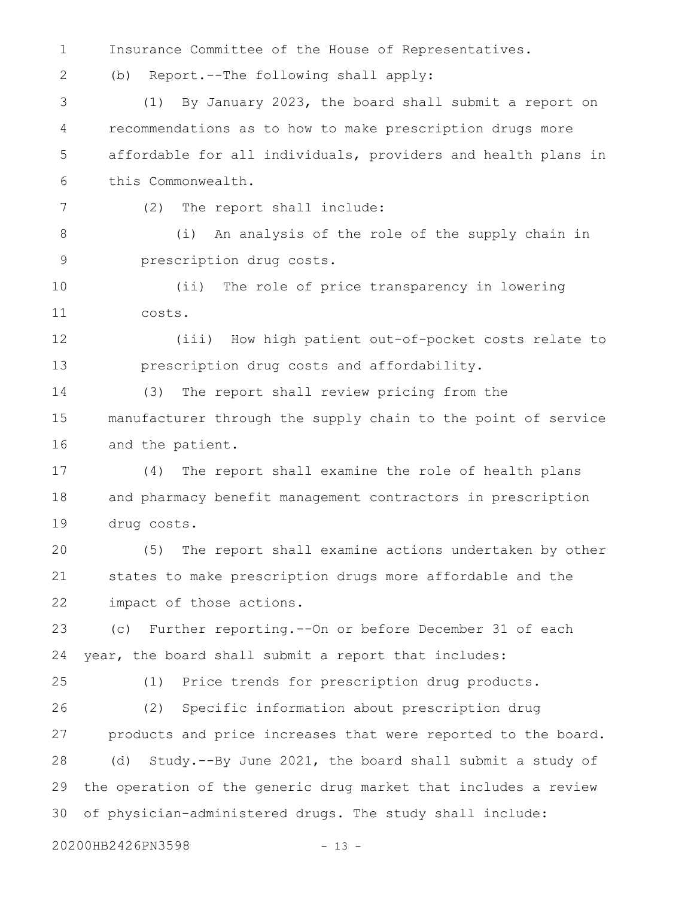Insurance Committee of the House of Representatives. (b) Report.--The following shall apply: (1) By January 2023, the board shall submit a report on recommendations as to how to make prescription drugs more affordable for all individuals, providers and health plans in this Commonwealth. (2) The report shall include: (i) An analysis of the role of the supply chain in prescription drug costs. (ii) The role of price transparency in lowering costs. (iii) How high patient out-of-pocket costs relate to prescription drug costs and affordability. (3) The report shall review pricing from the manufacturer through the supply chain to the point of service and the patient. (4) The report shall examine the role of health plans and pharmacy benefit management contractors in prescription drug costs. (5) The report shall examine actions undertaken by other states to make prescription drugs more affordable and the impact of those actions. (c) Further reporting.--On or before December 31 of each year, the board shall submit a report that includes: (1) Price trends for prescription drug products. (2) Specific information about prescription drug products and price increases that were reported to the board. (d) Study.--By June 2021, the board shall submit a study of the operation of the generic drug market that includes a review of physician-administered drugs. The study shall include: 20200HB2426PN3598 - 13 -1 2 3 4 5 6 7 8 9 10 11 12 13 14 15 16 17 18 19 20 21 22 23 24 25 26 27 28 29 30